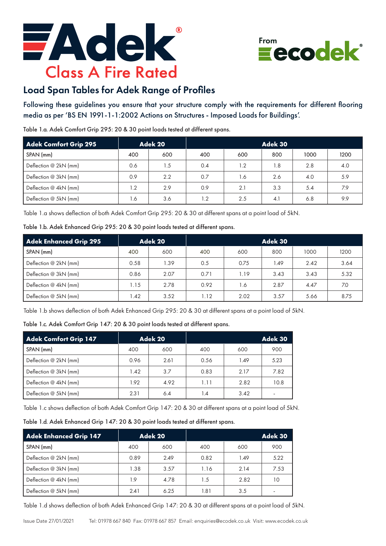



## Load Span Tables for Adek Range of Profiles

Following these guidelines you ensure that your structure comply with the requirements for different flooring media as per 'BS EN 1991-1-1:2002 Actions on Structures - Imposed Loads for Buildings'.

Table 1.a. Adek Comfort Grip 295: 20 & 30 point loads tested at different spans.

| <b>Adek Comfort Grip 295</b> |     | Adek 20 | Adek 30 |     |     |      |      |
|------------------------------|-----|---------|---------|-----|-----|------|------|
| SPAN (mm)                    | 400 | 600     | 400     | 600 | 800 | 1000 | 1200 |
| Deflection @ 2kN (mm)        | 0.6 | 1.5     | 0.4     | 1.2 | 1.8 | 2.8  | 4.0  |
| Deflection @ 3kN (mm)        | 0.9 | 2.2     | 0.7     | 1.6 | 2.6 | 4.0  | 5.9  |
| Deflection @ 4kN (mm)        | 1.2 | 2.9     | 0.9     | 2.1 | 3.3 | 5.4  | 7.9  |
| Deflection @ 5kN (mm)        | 1.6 | 3.6     | 1.2     | 2.5 | 4.1 | 6.8  | 9.9  |

Table 1.a shows deflection of both Adek Comfort Grip 295: 20 & 30 at different spans at a point load of 5kN.

| Table 1.b. Adek Enhanced Grip 295: 20 & 30 point loads tested at different spans. |  |  |  |  |  |  |  |  |  |  |
|-----------------------------------------------------------------------------------|--|--|--|--|--|--|--|--|--|--|
|-----------------------------------------------------------------------------------|--|--|--|--|--|--|--|--|--|--|

| Adek Enhanced Grip 295 |      | Adek 20 | Adek 30 |      |      |      |      |
|------------------------|------|---------|---------|------|------|------|------|
| SPAN (mm)              | 400  | 600     | 400     | 600  | 800  | 1000 | 1200 |
| Deflection @ 2kN (mm)  | 0.58 | 1.39    | 0.5     | 0.75 | 1.49 | 2.42 | 3.64 |
| Deflection @ 3kN (mm)  | 0.86 | 2.07    | 0.71    | 1.19 | 3.43 | 3.43 | 5.32 |
| Deflection @ 4kN (mm)  | 1.15 | 2.78    | 0.92    | 1.6  | 2.87 | 4.47 | 7.0  |
| Deflection @ 5kN (mm)  | 1.42 | 3.52    | .12     | 2.02 | 3.57 | 5.66 | 8.75 |

Table 1.b shows deflection of both Adek Enhanced Grip 295: 20 & 30 at different spans at a point load of 5kN.

Table 1.c. Adek Comfort Grip 147: 20 & 30 point loads tested at different spans.

| <b>Adek Comfort Grip 147</b> |      | Adek 20 |      |      | Adek 30                  |
|------------------------------|------|---------|------|------|--------------------------|
| SPAN (mm)                    | 400  | 600     | 400  | 600  | 900                      |
| Deflection @ 2kN (mm)        | 0.96 | 2.61    | 0.56 | 1.49 | 5.23                     |
| Deflection @ 3kN (mm)        | 1.42 | 3.7     | 0.83 | 2.17 | 7.82                     |
| Deflection @ 4kN (mm)        | 1.92 | 4.92    | 1.11 | 2.82 | 10.8                     |
| Deflection @ 5kN (mm)        | 2.31 | 6.4     | 1.4  | 3.42 | $\overline{\phantom{0}}$ |

Table 1.c shows deflection of both Adek Comfort Grip 147: 20 & 30 at different spans at a point load of 5kN.

|  |  | Table 1.d. Adek Enhanced Grip 147: 20 & 30 point loads tested at different spans. |  |  |  |  |  |  |  |  |
|--|--|-----------------------------------------------------------------------------------|--|--|--|--|--|--|--|--|
|--|--|-----------------------------------------------------------------------------------|--|--|--|--|--|--|--|--|

| Adek Enhanced Grip 147 | Adek 20 |      |      |      | Adek 30 |
|------------------------|---------|------|------|------|---------|
| SPAN (mm)              | 400     | 600  | 400  | 600  | 900     |
| Deflection @ 2kN (mm)  | 0.89    | 2.49 | 0.82 | 1.49 | 5.22    |
| Deflection @ 3kN (mm)  | 1.38    | 3.57 | 1.16 | 2.14 | 7.53    |
| Deflection @ 4kN (mm)  | 1.9     | 4.78 | 1.5  | 2.82 | 10      |
| Deflection @ 5kN (mm)  | 2.41    | 6.25 | 1.81 | 3.5  |         |

Table 1.d shows deflection of both Adek Enhanced Grip 147: 20 & 30 at different spans at a point load of 5kN.